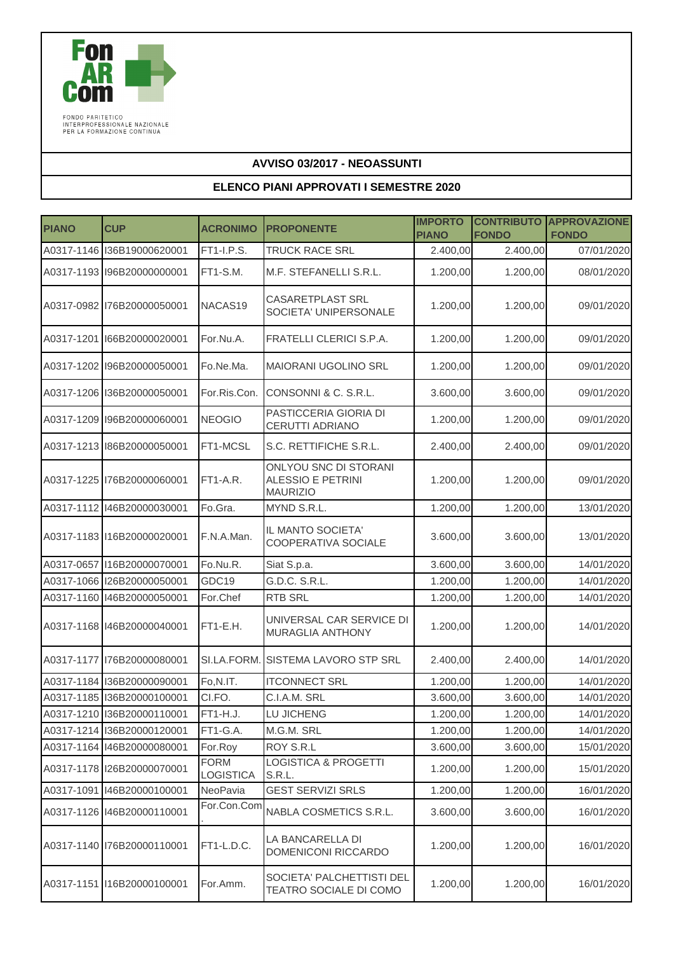

FONDO PARITETICO<br>INTERPROFESSIONALE NAZIONALE<br>PER LA FORMAZIONE CONTINUA

## **AVVISO 03/2017 - NEOASSUNTI**

## **ELENCO PIANI APPROVATI I SEMESTRE 2020**

| <b>PIANO</b> | <b>CUP</b>                   | <b>ACRONIMO</b>                 | <b>PROPONENTE</b>                                                    | <b>IMPORTO</b><br><b>PIANO</b> | <b>FONDO</b> | <b>CONTRIBUTO APPROVAZIONE</b><br><b>FONDO</b> |
|--------------|------------------------------|---------------------------------|----------------------------------------------------------------------|--------------------------------|--------------|------------------------------------------------|
|              | A0317-1146 136B19000620001   | FT1-I.P.S.                      | TRUCK RACE SRL                                                       | 2.400,00                       | 2.400,00     | 07/01/2020                                     |
|              | A0317-1193 196B20000000001   | FT1-S.M.                        | M.F. STEFANELLI S.R.L.                                               | 1.200,00                       | 1.200,00     | 08/01/2020                                     |
|              | A0317-0982 176B20000050001   | NACAS19                         | <b>CASARETPLAST SRL</b><br>SOCIETA' UNIPERSONALE                     | 1.200,00                       | 1.200,00     | 09/01/2020                                     |
| A0317-1201   | I66B20000020001              | For.Nu.A.                       | FRATELLI CLERICI S.P.A.                                              | 1.200,00                       | 1.200,00     | 09/01/2020                                     |
|              | A0317-1202 I96B20000050001   | Fo.Ne.Ma.                       | <b>MAIORANI UGOLINO SRL</b>                                          | 1.200,00                       | 1.200,00     | 09/01/2020                                     |
|              | A0317-1206 136B20000050001   | For.Ris.Con.                    | CONSONNI & C. S.R.L.                                                 | 3.600,00                       | 3.600,00     | 09/01/2020                                     |
|              | A0317-1209 I96B20000060001   | <b>NEOGIO</b>                   | PASTICCERIA GIORIA DI<br>CERUTTI ADRIANO                             | 1.200,00                       | 1.200,00     | 09/01/2020                                     |
|              | A0317-1213 86B20000050001    | FT1-MCSL                        | S.C. RETTIFICHE S.R.L.                                               | 2.400,00                       | 2.400,00     | 09/01/2020                                     |
|              | A0317-1225 176B20000060001   | FT1-A.R.                        | <b>ONLYOU SNC DI STORANI</b><br>ALESSIO E PETRINI<br><b>MAURIZIO</b> | 1.200,00                       | 1.200,00     | 09/01/2020                                     |
|              | A0317-1112 146B20000030001   | Fo.Gra.                         | MYND S.R.L.                                                          | 1.200,00                       | 1.200,00     | 13/01/2020                                     |
|              | A0317-1183 116B20000020001   | F.N.A.Man.                      | IL MANTO SOCIETA'<br>COOPERATIVA SOCIALE                             | 3.600,00                       | 3.600,00     | 13/01/2020                                     |
| A0317-0657   | I16B20000070001              | Fo.Nu.R.                        | Siat S.p.a.                                                          | 3.600,00                       | 3.600,00     | 14/01/2020                                     |
|              | A0317-1066 I26B20000050001   | GDC19                           | G.D.C. S.R.L.                                                        | 1.200,00                       | 1.200,00     | 14/01/2020                                     |
|              | A0317-1160 146B20000050001   | For.Chef                        | RTB SRL                                                              | 1.200,00                       | 1.200,00     | 14/01/2020                                     |
|              | A0317-1168 146B20000040001   | FT1-E.H.                        | UNIVERSAL CAR SERVICE DI<br>MURAGLIA ANTHONY                         | 1.200,00                       | 1.200,00     | 14/01/2020                                     |
|              | A0317-1177   176B20000080001 | SI.LA.FORM.                     | SISTEMA LAVORO STP SRL                                               | 2.400,00                       | 2.400,00     | 14/01/2020                                     |
|              | A0317-1184 136B20000090001   | Fo,N.IT.                        | <b>ITCONNECT SRL</b>                                                 | 1.200,00                       | 1.200,00     | 14/01/2020                                     |
|              | A0317-1185 136B20000100001   | CI.FO.                          | C.I.A.M. SRL                                                         | 3.600,00                       | 3.600,00     | 14/01/2020                                     |
|              | A0317-1210 136B20000110001   | FT1-H.J.                        | LU JICHENG                                                           | 1.200,00                       | 1.200,00     | 14/01/2020                                     |
|              | A0317-1214 136B20000120001   | FT1-G.A.                        | M.G.M. SRL                                                           | 1.200,00                       | 1.200,00     | 14/01/2020                                     |
|              | A0317-1164 146B20000080001   | For.Roy                         | ROY S.R.L                                                            | 3.600,00                       | 3.600,00     | 15/01/2020                                     |
|              | A0317-1178 126B20000070001   | <b>FORM</b><br><b>LOGISTICA</b> | LOGISTICA & PROGETTI<br>S.R.L.                                       | 1.200,00                       | 1.200,00     | 15/01/2020                                     |
| A0317-1091   | I46B20000100001              | NeoPavia                        | <b>GEST SERVIZI SRLS</b>                                             | 1.200,00                       | 1.200,00     | 16/01/2020                                     |
|              | A0317-1126 146B20000110001   | For.Con.Com                     | NABLA COSMETICS S.R.L.                                               | 3.600,00                       | 3.600,00     | 16/01/2020                                     |
|              | A0317-1140 76B20000110001    | FT1-L.D.C.                      | LA BANCARELLA DI<br>DOMENICONI RICCARDO                              | 1.200,00                       | 1.200,00     | 16/01/2020                                     |
|              | A0317-1151 16B20000100001    | For.Amm.                        | SOCIETA' PALCHETTISTI DEL<br>TEATRO SOCIALE DI COMO                  | 1.200,00                       | 1.200,00     | 16/01/2020                                     |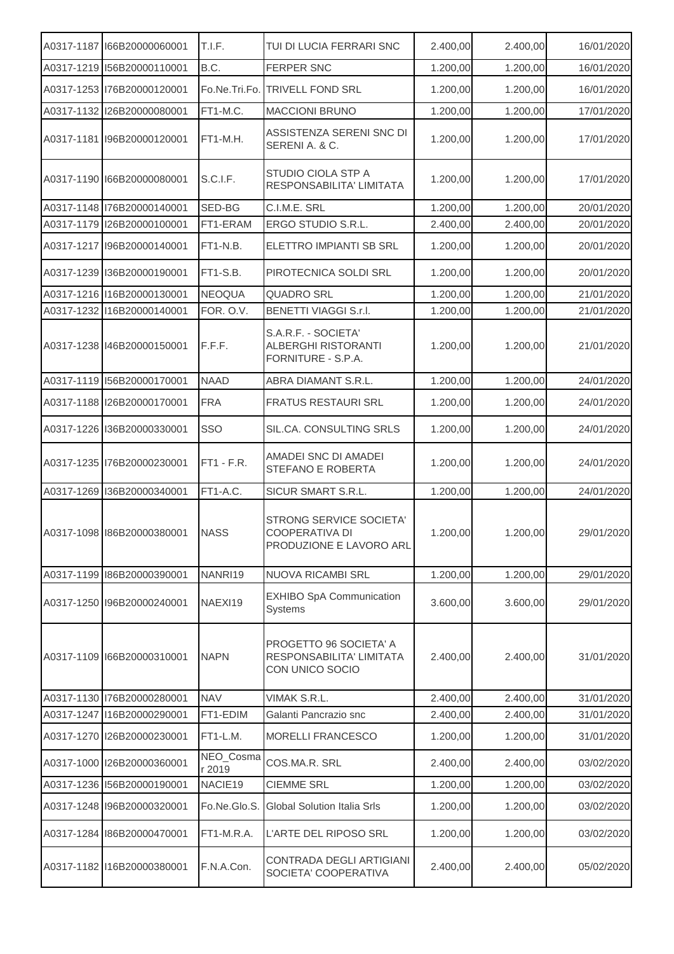| A0317-1187 166B20000060001 | T.I.F.              | TUI DI LUCIA FERRARI SNC                                                | 2.400,00 | 2.400,00 | 16/01/2020 |
|----------------------------|---------------------|-------------------------------------------------------------------------|----------|----------|------------|
| A0317-1219 156B20000110001 | B.C.                | <b>FERPER SNC</b>                                                       | 1.200,00 | 1.200,00 | 16/01/2020 |
| A0317-1253 176B20000120001 | Fo.Ne.Tri.Fo.       | TRIVELL FOND SRL                                                        | 1.200,00 | 1.200,00 | 16/01/2020 |
| A0317-1132 126B20000080001 | FT1-M.C.            | <b>MACCIONI BRUNO</b>                                                   | 1.200,00 | 1.200,00 | 17/01/2020 |
| A0317-1181 196B20000120001 | FT1-M.H.            | ASSISTENZA SERENI SNC DI<br>SERENI A. & C.                              | 1.200,00 | 1.200,00 | 17/01/2020 |
| A0317-1190 66B20000080001  | S.C.I.F.            | STUDIO CIOLA STP A<br>RESPONSABILITA' LIMITATA                          | 1.200,00 | 1.200,00 | 17/01/2020 |
| A0317-1148 76B20000140001  | SED-BG              | C.I.M.E. SRL                                                            | 1.200,00 | 1.200,00 | 20/01/2020 |
| A0317-1179 126B20000100001 | FT1-ERAM            | ERGO STUDIO S.R.L.                                                      | 2.400,00 | 2.400,00 | 20/01/2020 |
| A0317-1217 196B20000140001 | FT1-N.B.            | ELETTRO IMPIANTI SB SRL                                                 | 1.200,00 | 1.200,00 | 20/01/2020 |
| A0317-1239 136B20000190001 | FT1-S.B.            | PIROTECNICA SOLDI SRL                                                   | 1.200,00 | 1.200,00 | 20/01/2020 |
| A0317-1216 116B20000130001 | <b>NEOQUA</b>       | <b>QUADRO SRL</b>                                                       | 1.200,00 | 1.200,00 | 21/01/2020 |
| A0317-1232 I16B20000140001 | FOR. O.V.           | <b>BENETTI VIAGGI S.r.l.</b>                                            | 1.200,00 | 1.200,00 | 21/01/2020 |
| A0317-1238 146B20000150001 | F.F.F.              | S.A.R.F. - SOCIETA'<br><b>ALBERGHI RISTORANTI</b><br>FORNITURE - S.P.A. | 1.200,00 | 1.200,00 | 21/01/2020 |
| A0317-1119 156B20000170001 | <b>NAAD</b>         | ABRA DIAMANT S.R.L.                                                     | 1.200,00 | 1.200,00 | 24/01/2020 |
| A0317-1188 126B20000170001 | <b>FRA</b>          | FRATUS RESTAURI SRL                                                     | 1.200,00 | 1.200,00 | 24/01/2020 |
| A0317-1226 136B20000330001 | SSO                 | SIL.CA. CONSULTING SRLS                                                 | 1.200,00 | 1.200,00 | 24/01/2020 |
| A0317-1235 176B20000230001 | $FT1 - F.R.$        | AMADEI SNC DI AMADEI<br>STEFANO E ROBERTA                               | 1.200,00 | 1.200,00 | 24/01/2020 |
| A0317-1269 136B20000340001 | FT1-A.C.            | SICUR SMART S.R.L.                                                      | 1.200,00 | 1.200,00 | 24/01/2020 |
| A0317-1098 86B20000380001  | <b>NASS</b>         | STRONG SERVICE SOCIETA'<br>COOPERATIVA DI<br>PRODUZIONE E LAVORO ARL    | 1.200,00 | 1.200,00 | 29/01/2020 |
| A0317-1199 86B20000390001  | NANRI19             | <b>NUOVA RICAMBI SRL</b>                                                | 1.200,00 | 1.200,00 | 29/01/2020 |
| A0317-1250 196B20000240001 | NAEXI19             | <b>EXHIBO SpA Communication</b><br><b>Systems</b>                       | 3.600,00 | 3.600,00 | 29/01/2020 |
| A0317-1109 166B20000310001 | <b>NAPN</b>         | PROGETTO 96 SOCIETA' A<br>RESPONSABILITA' LIMITATA<br>CON UNICO SOCIO   | 2.400,00 | 2.400,00 | 31/01/2020 |
| A0317-1130 76B20000280001  | <b>NAV</b>          | VIMAK S.R.L.                                                            | 2.400,00 | 2.400,00 | 31/01/2020 |
| A0317-1247 116B20000290001 | FT1-EDIM            | Galanti Pancrazio snc                                                   | 2.400,00 | 2.400,00 | 31/01/2020 |
| A0317-1270 126B20000230001 | FT1-L.M.            | MORELLI FRANCESCO                                                       | 1.200,00 | 1.200,00 | 31/01/2020 |
| A0317-1000 I26B20000360001 | NEO_Cosma<br>r 2019 | COS.MA.R. SRL                                                           | 2.400,00 | 2.400,00 | 03/02/2020 |
| A0317-1236 156B20000190001 | NACIE19             | <b>CIEMME SRL</b>                                                       | 1.200,00 | 1.200,00 | 03/02/2020 |
| A0317-1248 196B20000320001 | Fo.Ne.Glo.S.        | Global Solution Italia Srls                                             | 1.200,00 | 1.200,00 | 03/02/2020 |
| A0317-1284 86B20000470001  | FT1-M.R.A.          | L'ARTE DEL RIPOSO SRL                                                   | 1.200,00 | 1.200,00 | 03/02/2020 |
| A0317-1182 116B20000380001 | F.N.A.Con.          | CONTRADA DEGLI ARTIGIANI<br>SOCIETA' COOPERATIVA                        | 2.400,00 | 2.400,00 | 05/02/2020 |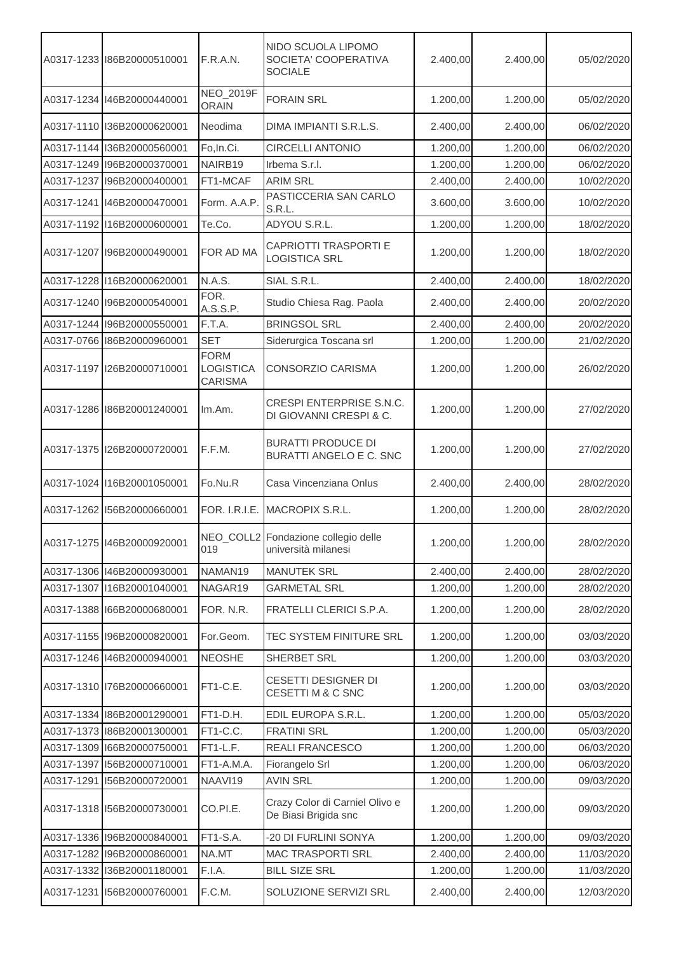|            | A0317-1233 86B20000510001    | F.R.A.N.                            | NIDO SCUOLA LIPOMO<br>SOCIETA' COOPERATIVA<br><b>SOCIALE</b> | 2.400,00 | 2.400,00 | 05/02/2020 |
|------------|------------------------------|-------------------------------------|--------------------------------------------------------------|----------|----------|------------|
|            | A0317-1234 146B20000440001   | <b>NEO_2019F</b><br><b>ORAIN</b>    | <b>FORAIN SRL</b>                                            | 1.200,00 | 1.200,00 | 05/02/2020 |
|            | A0317-1110 136B20000620001   | Neodima                             | DIMA IMPIANTI S.R.L.S.                                       | 2.400,00 | 2.400,00 | 06/02/2020 |
|            | A0317-1144 136B20000560001   | Fo, In.Ci.                          | <b>CIRCELLI ANTONIO</b>                                      | 1.200,00 | 1.200,00 | 06/02/2020 |
|            | A0317-1249 196B20000370001   | NAIRB19                             | Irbema S.r.l.                                                | 1.200,00 | 1.200,00 | 06/02/2020 |
| A0317-1237 | I96B20000400001              | FT1-MCAF                            | <b>ARIM SRL</b>                                              | 2.400,00 | 2.400,00 | 10/02/2020 |
|            | A0317-1241   146B20000470001 | Form. A.A.P.                        | PASTICCERIA SAN CARLO<br>S.R.L.                              | 3.600,00 | 3.600,00 | 10/02/2020 |
|            | A0317-1192 116B20000600001   | Te.Co.                              | ADYOU S.R.L.                                                 | 1.200,00 | 1.200,00 | 18/02/2020 |
|            | A0317-1207 196B20000490001   | FOR AD MA                           | <b>CAPRIOTTI TRASPORTI E</b><br><b>LOGISTICA SRL</b>         | 1.200,00 | 1.200,00 | 18/02/2020 |
|            | A0317-1228 116B20000620001   | N.A.S.                              | SIAL S.R.L.                                                  | 2.400,00 | 2.400,00 | 18/02/2020 |
|            | A0317-1240 196B20000540001   | FOR.<br>A.S.S.P.                    | Studio Chiesa Rag. Paola                                     | 2.400,00 | 2.400,00 | 20/02/2020 |
|            | A0317-1244 196B20000550001   | F.T.A.                              | <b>BRINGSOL SRL</b>                                          | 2.400,00 | 2.400,00 | 20/02/2020 |
|            | A0317-0766 86B20000960001    | <b>SET</b>                          | Siderurgica Toscana srl                                      | 1.200,00 | 1.200,00 | 21/02/2020 |
|            | A0317-1197  26B20000710001   | <b>FORM</b><br>LOGISTICA<br>CARISMA | CONSORZIO CARISMA                                            | 1.200,00 | 1.200,00 | 26/02/2020 |
|            | A0317-1286 86B20001240001    | Im.Am.                              | CRESPI ENTERPRISE S.N.C.<br>DI GIOVANNI CRESPI & C.          | 1.200,00 | 1.200,00 | 27/02/2020 |
|            | A0317-1375 126B20000720001   | F.F.M.                              | <b>BURATTI PRODUCE DI</b><br><b>BURATTI ANGELO E C. SNC</b>  | 1.200,00 | 1.200,00 | 27/02/2020 |
|            | A0317-1024 116B20001050001   | Fo.Nu.R                             | Casa Vincenziana Onlus                                       | 2.400,00 | 2.400,00 | 28/02/2020 |
|            | A0317-1262 156B20000660001   | FOR. I.R.I.E.                       | MACROPIX S.R.L.                                              | 1.200,00 | 1.200,00 | 28/02/2020 |
|            | A0317-1275   146B20000920001 | 019                                 | NEO_COLL2 Fondazione collegio delle<br>università milanesi   | 1.200,00 | 1.200,00 | 28/02/2020 |
|            | A0317-1306 146B20000930001   | NAMAN19                             | <b>MANUTEK SRL</b>                                           | 2.400,00 | 2.400,00 | 28/02/2020 |
|            | A0317-1307 116B20001040001   | NAGAR19                             | <b>GARMETAL SRL</b>                                          | 1.200,00 | 1.200,00 | 28/02/2020 |
|            | A0317-1388 166B20000680001   | FOR. N.R.                           | FRATELLI CLERICI S.P.A.                                      | 1.200,00 | 1.200,00 | 28/02/2020 |
|            | A0317-1155 196B20000820001   | For.Geom.                           | TEC SYSTEM FINITURE SRL                                      | 1.200,00 | 1.200,00 | 03/03/2020 |
|            | A0317-1246 146B20000940001   | <b>NEOSHE</b>                       | SHERBET SRL                                                  | 1.200,00 | 1.200,00 | 03/03/2020 |
|            | A0317-1310 I76B20000660001   | FT1-C.E.                            | CESETTI DESIGNER DI<br>CESETTI M & C SNC                     | 1.200,00 | 1.200,00 | 03/03/2020 |
|            | A0317-1334 186B20001290001   | FT1-D.H.                            | EDIL EUROPA S.R.L.                                           | 1.200,00 | 1.200,00 | 05/03/2020 |
|            | A0317-1373 86B20001300001    | FT1-C.C.                            | <b>FRATINI SRL</b>                                           | 1.200,00 | 1.200,00 | 05/03/2020 |
|            | A0317-1309 166B20000750001   | FT1-L.F.                            | REALI FRANCESCO                                              | 1.200,00 | 1.200,00 | 06/03/2020 |
| A0317-1397 | I56B20000710001              | FT1-A.M.A.                          | Fiorangelo Srl                                               | 1.200,00 | 1.200,00 | 06/03/2020 |
| A0317-1291 | I56B20000720001              | NAAVI19                             | <b>AVIN SRL</b>                                              | 1.200,00 | 1.200,00 | 09/03/2020 |
|            | A0317-1318 156B20000730001   | CO.PI.E.                            | Crazy Color di Carniel Olivo e<br>De Biasi Brigida snc       | 1.200,00 | 1.200,00 | 09/03/2020 |
|            | A0317-1336 I96B20000840001   | FT1-S.A.                            | -20 DI FURLINI SONYA                                         | 1.200,00 | 1.200,00 | 09/03/2020 |
|            | A0317-1282 I96B20000860001   | NA.MT                               | <b>MAC TRASPORTI SRL</b>                                     | 2.400,00 | 2.400,00 | 11/03/2020 |
|            | A0317-1332 I36B20001180001   | F.I.A.                              | <b>BILL SIZE SRL</b>                                         | 1.200,00 | 1.200,00 | 11/03/2020 |
| A0317-1231 | I56B20000760001              | F.C.M.                              | SOLUZIONE SERVIZI SRL                                        | 2.400,00 | 2.400,00 | 12/03/2020 |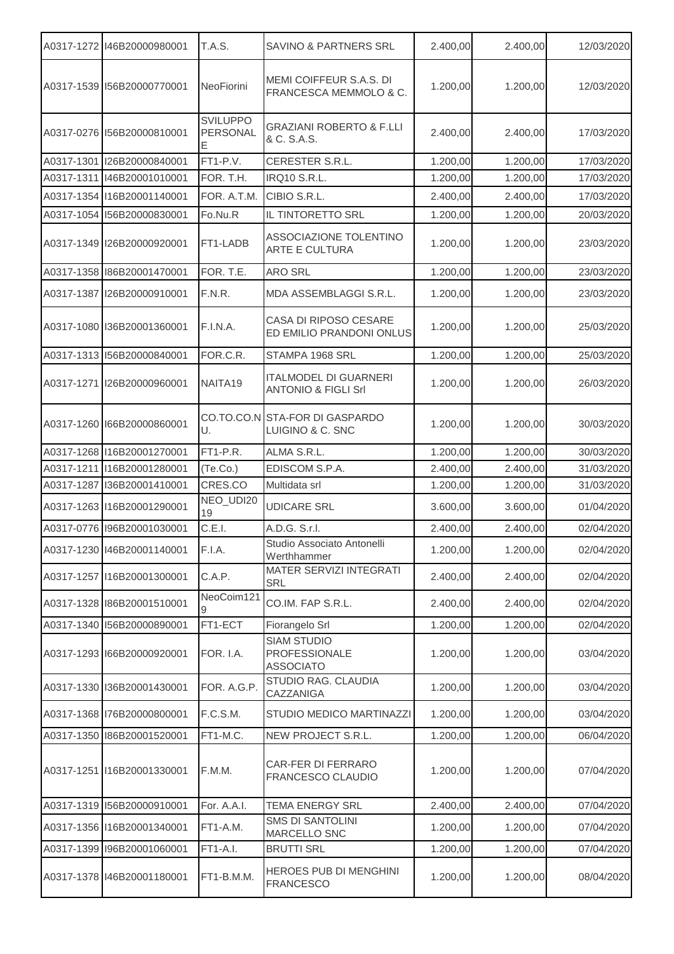|            | A0317-1272 146B20000980001 | <b>T.A.S.</b>                    | <b>SAVINO &amp; PARTNERS SRL</b>                               | 2.400,00 | 2.400,00 | 12/03/2020 |
|------------|----------------------------|----------------------------------|----------------------------------------------------------------|----------|----------|------------|
|            | A0317-1539 156B20000770001 | NeoFiorini                       | MEMI COIFFEUR S.A.S. DI<br>FRANCESCA MEMMOLO & C.              | 1.200,00 | 1.200,00 | 12/03/2020 |
|            | A0317-0276 156B20000810001 | <b>SVILUPPO</b><br>PERSONAL<br>Е | <b>GRAZIANI ROBERTO &amp; F.LLI</b><br>& C. S.A.S.             | 2.400,00 | 2.400,00 | 17/03/2020 |
| A0317-1301 | I26B20000840001            | FT1-P.V.                         | CERESTER S.R.L.                                                | 1.200,00 | 1.200,00 | 17/03/2020 |
| A0317-1311 | I46B20001010001            | FOR. T.H.                        | <b>IRQ10 S.R.L.</b>                                            | 1.200,00 | 1.200,00 | 17/03/2020 |
|            | A0317-1354 116B20001140001 | FOR. A.T.M.                      | CIBIO S.R.L.                                                   | 2.400,00 | 2.400,00 | 17/03/2020 |
|            | A0317-1054 156B20000830001 | Fo.Nu.R                          | IL TINTORETTO SRL                                              | 1.200,00 | 1.200,00 | 20/03/2020 |
|            | A0317-1349 I26B20000920001 | FT1-LADB                         | ASSOCIAZIONE TOLENTINO<br><b>ARTE E CULTURA</b>                | 1.200,00 | 1.200,00 | 23/03/2020 |
|            | A0317-1358 86B20001470001  | FOR. T.E.                        | <b>ARO SRL</b>                                                 | 1.200,00 | 1.200,00 | 23/03/2020 |
|            | A0317-1387 I26B20000910001 | F.N.R.                           | MDA ASSEMBLAGGI S.R.L.                                         | 1.200,00 | 1.200,00 | 23/03/2020 |
|            | A0317-1080 36B20001360001  | F.I.N.A.                         | CASA DI RIPOSO CESARE<br>ED EMILIO PRANDONI ONLUS              | 1.200,00 | 1.200,00 | 25/03/2020 |
|            | A0317-1313 156B20000840001 | FOR.C.R.                         | STAMPA 1968 SRL                                                | 1.200,00 | 1.200,00 | 25/03/2020 |
| A0317-1271 | I26B20000960001            | NAITA19                          | <b>ITALMODEL DI GUARNERI</b><br><b>ANTONIO &amp; FIGLI Srl</b> | 1.200,00 | 1.200,00 | 26/03/2020 |
|            | A0317-1260 166B20000860001 | U.                               | CO.TO.CO.N STA-FOR DI GASPARDO<br>LUIGINO & C. SNC             | 1.200,00 | 1.200,00 | 30/03/2020 |
|            | A0317-1268 116B20001270001 | FT1-P.R.                         | ALMA S.R.L.                                                    | 1.200,00 | 1.200,00 | 30/03/2020 |
| A0317-1211 | I16B20001280001            | (Te.Co.)                         | EDISCOM S.P.A.                                                 | 2.400,00 | 2.400,00 | 31/03/2020 |
| A0317-1287 | I36B20001410001            | CRES.CO                          | Multidata srl                                                  | 1.200,00 | 1.200,00 | 31/03/2020 |
|            | A0317-1263 116B20001290001 | NEO_UDI20<br>19                  | <b>UDICARE SRL</b>                                             | 3.600,00 | 3.600,00 | 01/04/2020 |
|            | A0317-0776 196B20001030001 | C.E.I.                           | A.D.G. S.r.l.                                                  | 2.400,00 | 2.400,00 | 02/04/2020 |
|            | A0317-1230 146B20001140001 | F.I.A.                           | Studio Associato Antonelli<br>Werthhammer                      | 1.200,00 | 1.200,00 | 02/04/2020 |
|            | A0317-1257 116B20001300001 | C.A.P.                           | MATER SERVIZI INTEGRATI<br>SRL                                 | 2.400,00 | 2.400,00 | 02/04/2020 |
|            | A0317-1328 86B20001510001  | NeoCoim121                       | CO.IM. FAP S.R.L.                                              | 2.400,00 | 2.400,00 | 02/04/2020 |
|            | A0317-1340 156B20000890001 | FT1-ECT                          | Fiorangelo Srl                                                 | 1.200,00 | 1.200,00 | 02/04/2020 |
|            | A0317-1293 66B20000920001  | FOR. I.A.                        | <b>SIAM STUDIO</b><br><b>PROFESSIONALE</b><br><b>ASSOCIATO</b> | 1.200,00 | 1.200,00 | 03/04/2020 |
|            | A0317-1330 136B20001430001 | FOR. A.G.P.                      | STUDIO RAG. CLAUDIA<br>CAZZANIGA                               | 1.200,00 | 1.200,00 | 03/04/2020 |
|            | A0317-1368 I76B20000800001 | F.C.S.M.                         | STUDIO MEDICO MARTINAZZI                                       | 1.200,00 | 1.200,00 | 03/04/2020 |
|            | A0317-1350 86B20001520001  | FT1-M.C.                         | NEW PROJECT S.R.L.                                             | 1.200,00 | 1.200,00 | 06/04/2020 |
|            | A0317-1251 16B20001330001  | F.M.M.                           | CAR-FER DI FERRARO<br>FRANCESCO CLAUDIO                        | 1.200,00 | 1.200,00 | 07/04/2020 |
|            | A0317-1319 156B20000910001 | For. A.A.I.                      | TEMA ENERGY SRL                                                | 2.400,00 | 2.400,00 | 07/04/2020 |
|            | A0317-1356 116B20001340001 | FT1-A.M.                         | <b>SMS DI SANTOLINI</b><br>MARCELLO SNC                        | 1.200,00 | 1.200,00 | 07/04/2020 |
|            | A0317-1399 I96B20001060001 | FT1-A.I.                         | <b>BRUTTI SRL</b>                                              | 1.200,00 | 1.200,00 | 07/04/2020 |
|            | A0317-1378 146B20001180001 | FT1-B.M.M.                       | HEROES PUB DI MENGHINI<br><b>FRANCESCO</b>                     | 1.200,00 | 1.200,00 | 08/04/2020 |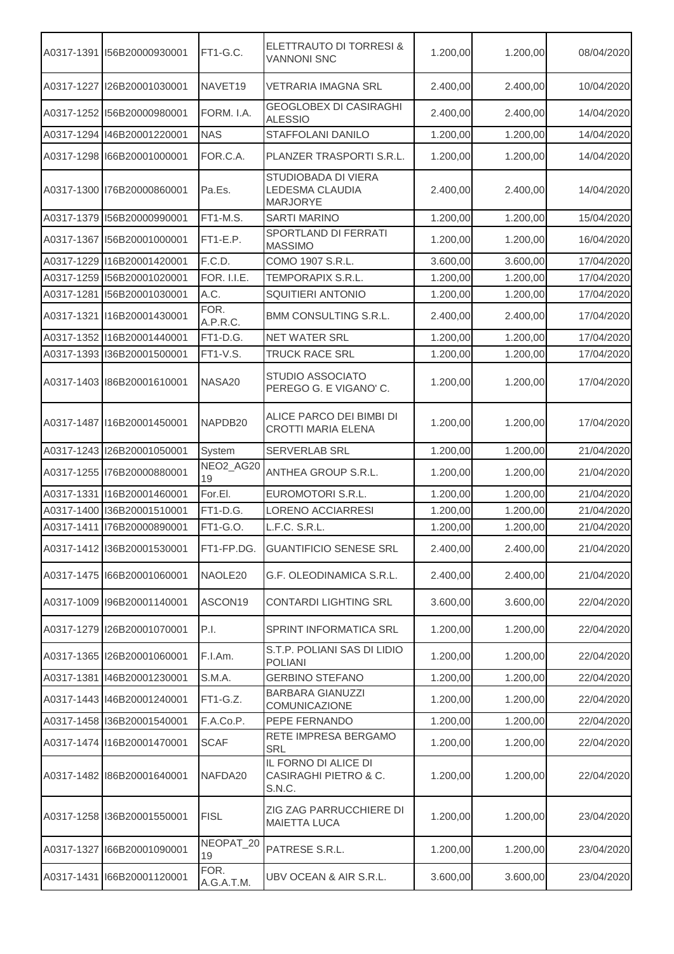|            | A0317-1391 156B20000930001 | FT1-G.C.            | ELETTRAUTO DI TORRESI &<br><b>VANNONI SNC</b>             | 1.200,00 | 1.200,00 | 08/04/2020 |
|------------|----------------------------|---------------------|-----------------------------------------------------------|----------|----------|------------|
| A0317-1227 | I26B20001030001            | NAVET <sub>19</sub> | VETRARIA IMAGNA SRL                                       | 2.400,00 | 2.400,00 | 10/04/2020 |
|            | A0317-1252 156B20000980001 | FORM. I.A.          | <b>GEOGLOBEX DI CASIRAGHI</b><br><b>ALESSIO</b>           | 2.400,00 | 2.400,00 | 14/04/2020 |
|            | A0317-1294 146B20001220001 | <b>NAS</b>          | STAFFOLANI DANILO                                         | 1.200,00 | 1.200,00 | 14/04/2020 |
|            | A0317-1298 166B20001000001 | FOR.C.A.            | PLANZER TRASPORTI S.R.L.                                  | 1.200,00 | 1.200,00 | 14/04/2020 |
|            | A0317-1300 76B20000860001  | Pa.Es.              | STUDIOBADA DI VIERA<br>LEDESMA CLAUDIA<br><b>MARJORYE</b> | 2.400,00 | 2.400,00 | 14/04/2020 |
|            | A0317-1379 156B20000990001 | FT1-M.S.            | <b>SARTI MARINO</b>                                       | 1.200,00 | 1.200,00 | 15/04/2020 |
| A0317-1367 | 156B20001000001            | FT1-E.P.            | SPORTLAND DI FERRATI<br><b>MASSIMO</b>                    | 1.200,00 | 1.200,00 | 16/04/2020 |
|            | A0317-1229 116B20001420001 | F.C.D.              | COMO 1907 S.R.L.                                          | 3.600,00 | 3.600,00 | 17/04/2020 |
|            | A0317-1259 156B20001020001 | <b>FOR. I.I.E.</b>  | TEMPORAPIX S.R.L.                                         | 1.200,00 | 1.200,00 | 17/04/2020 |
| A0317-1281 | I56B20001030001            | A.C.                | <b>SQUITIERI ANTONIO</b>                                  | 1.200,00 | 1.200,00 | 17/04/2020 |
| A0317-1321 | I16B20001430001            | FOR.<br>A.P.R.C.    | BMM CONSULTING S.R.L.                                     | 2.400,00 | 2.400,00 | 17/04/2020 |
|            | A0317-1352 116B20001440001 | FT1-D.G.            | <b>NET WATER SRL</b>                                      | 1.200,00 | 1.200,00 | 17/04/2020 |
|            | A0317-1393 136B20001500001 | FT1-V.S.            | TRUCK RACE SRL                                            | 1.200,00 | 1.200,00 | 17/04/2020 |
|            | A0317-1403 86B20001610001  | NASA20              | STUDIO ASSOCIATO<br>PEREGO G. E VIGANO' C.                | 1.200,00 | 1.200,00 | 17/04/2020 |
|            | A0317-1487 116B20001450001 | NAPDB20             | ALICE PARCO DEI BIMBI DI<br><b>CROTTI MARIA ELENA</b>     | 1.200,00 | 1.200,00 | 17/04/2020 |
|            | A0317-1243 126B20001050001 | System              | SERVERLAB SRL                                             | 1.200,00 | 1.200,00 | 21/04/2020 |
|            | A0317-1255 76B20000880001  | NEO2_AG20<br>19     | ANTHEA GROUP S.R.L.                                       | 1.200,00 | 1.200,00 | 21/04/2020 |
| A0317-1331 | I16B20001460001            | For.El.             | EUROMOTORI S.R.L.                                         | 1.200,00 | 1.200,00 | 21/04/2020 |
| A0317-1400 | I36B20001510001            | FT1-D.G.            | LORENO ACCIARRESI                                         | 1.200,00 | 1.200,00 | 21/04/2020 |
| A0317-1411 | I76B20000890001            | FT1-G.O.            | L.F.C. S.R.L.                                             | 1.200,00 | 1.200,00 | 21/04/2020 |
|            | A0317-1412 136B20001530001 | FT1-FP.DG.          | <b>GUANTIFICIO SENESE SRL</b>                             | 2.400,00 | 2.400,00 | 21/04/2020 |
|            | A0317-1475 166B20001060001 | NAOLE20             | G.F. OLEODINAMICA S.R.L.                                  | 2.400,00 | 2.400,00 | 21/04/2020 |
|            | A0317-1009 I96B20001140001 | ASCON19             | CONTARDI LIGHTING SRL                                     | 3.600,00 | 3.600,00 | 22/04/2020 |
|            | A0317-1279 126B20001070001 | P.I.                | SPRINT INFORMATICA SRL                                    | 1.200,00 | 1.200,00 | 22/04/2020 |
|            | A0317-1365 I26B20001060001 | F.I.Am.             | S.T.P. POLIANI SAS DI LIDIO<br><b>POLIANI</b>             | 1.200,00 | 1.200,00 | 22/04/2020 |
| A0317-1381 | I46B20001230001            | S.M.A.              | <b>GERBINO STEFANO</b>                                    | 1.200,00 | 1.200,00 | 22/04/2020 |
|            | A0317-1443 146B20001240001 | FT1-G.Z.            | <b>BARBARA GIANUZZI</b><br>COMUNICAZIONE                  | 1.200,00 | 1.200,00 | 22/04/2020 |
|            | A0317-1458 136B20001540001 | F.A.Co.P.           | PEPE FERNANDO                                             | 1.200,00 | 1.200,00 | 22/04/2020 |
|            | A0317-1474 116B20001470001 | <b>SCAF</b>         | RETE IMPRESA BERGAMO<br><b>SRL</b>                        | 1.200,00 | 1.200,00 | 22/04/2020 |
|            | A0317-1482 86B20001640001  | NAFDA20             | IL FORNO DI ALICE DI<br>CASIRAGHI PIETRO & C.<br>S.N.C.   | 1.200,00 | 1.200,00 | 22/04/2020 |
|            | A0317-1258 136B20001550001 | <b>FISL</b>         | ZIG ZAG PARRUCCHIERE DI<br><b>MAIETTA LUCA</b>            | 1.200,00 | 1.200,00 | 23/04/2020 |
|            | A0317-1327 166B20001090001 | NEOPAT_20<br>19     | PATRESE S.R.L.                                            | 1.200,00 | 1.200,00 | 23/04/2020 |
|            | A0317-1431 166B20001120001 | FOR.<br>A.G.A.T.M.  | UBV OCEAN & AIR S.R.L.                                    | 3.600,00 | 3.600,00 | 23/04/2020 |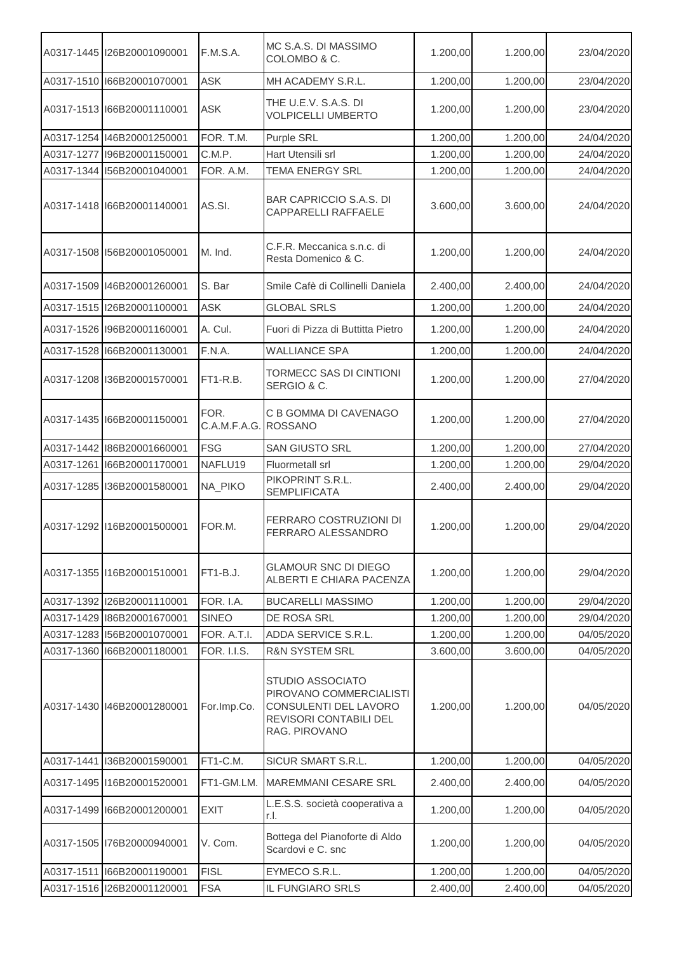|            | A0317-1445   I26B20001090001 | <b>F.M.S.A.</b>              | MC S.A.S. DI MASSIMO<br>COLOMBO & C.                                                                            | 1.200,00 | 1.200,00 | 23/04/2020 |
|------------|------------------------------|------------------------------|-----------------------------------------------------------------------------------------------------------------|----------|----------|------------|
|            | A0317-1510 166B20001070001   | ASK                          | MH ACADEMY S.R.L.                                                                                               | 1.200,00 | 1.200,00 | 23/04/2020 |
|            | A0317-1513 166B20001110001   | <b>ASK</b>                   | THE U.E.V. S.A.S. DI<br><b>VOLPICELLI UMBERTO</b>                                                               | 1.200,00 | 1.200,00 | 23/04/2020 |
|            | A0317-1254 146B20001250001   | FOR. T.M.                    | Purple SRL                                                                                                      | 1.200,00 | 1.200,00 | 24/04/2020 |
| A0317-1277 | I96B20001150001              | C.M.P.                       | Hart Utensili srl                                                                                               | 1.200,00 | 1.200,00 | 24/04/2020 |
| A0317-1344 | I56B20001040001              | FOR. A.M.                    | <b>TEMA ENERGY SRL</b>                                                                                          | 1.200,00 | 1.200,00 | 24/04/2020 |
|            | A0317-1418 166B20001140001   | AS.SI.                       | <b>BAR CAPRICCIO S.A.S. DI</b><br>CAPPARELLI RAFFAELE                                                           | 3.600,00 | 3.600,00 | 24/04/2020 |
|            | A0317-1508 156B20001050001   | M. Ind.                      | C.F.R. Meccanica s.n.c. di<br>Resta Domenico & C.                                                               | 1.200,00 | 1.200,00 | 24/04/2020 |
|            | A0317-1509 146B20001260001   | S. Bar                       | Smile Cafè di Collinelli Daniela                                                                                | 2.400,00 | 2.400,00 | 24/04/2020 |
|            | A0317-1515  26B20001100001   | <b>ASK</b>                   | <b>GLOBAL SRLS</b>                                                                                              | 1.200,00 | 1.200,00 | 24/04/2020 |
|            | A0317-1526 I96B20001160001   | A. Cul.                      | Fuori di Pizza di Buttitta Pietro                                                                               | 1.200,00 | 1.200,00 | 24/04/2020 |
|            | A0317-1528 166B20001130001   | F.N.A.                       | <b>WALLIANCE SPA</b>                                                                                            | 1.200,00 | 1.200,00 | 24/04/2020 |
|            | A0317-1208 136B20001570001   | $FT1-R.B.$                   | TORMECC SAS DI CINTIONI<br>SERGIO & C.                                                                          | 1.200,00 | 1.200,00 | 27/04/2020 |
|            | A0317-1435 166B20001150001   | FOR.<br>C.A.M.F.A.G. ROSSANO | C B GOMMA DI CAVENAGO                                                                                           | 1.200,00 | 1.200,00 | 27/04/2020 |
|            | A0317-1442 186B20001660001   | <b>FSG</b>                   | <b>SAN GIUSTO SRL</b>                                                                                           | 1.200,00 | 1.200,00 | 27/04/2020 |
| A0317-1261 | I66B20001170001              | NAFLU19                      | Fluormetall srl                                                                                                 | 1.200,00 | 1.200,00 | 29/04/2020 |
|            | A0317-1285 36B20001580001    | NA_PIKO                      | PIKOPRINT S.R.L.<br><b>SEMPLIFICATA</b>                                                                         | 2.400,00 | 2.400,00 | 29/04/2020 |
|            | A0317-1292 116B20001500001   | FOR.M.                       | FERRARO COSTRUZIONI DI<br>FERRARO ALESSANDRO                                                                    | 1.200,00 | 1.200,00 | 29/04/2020 |
|            | A0317-1355 116B20001510001   | FT1-B.J.                     | <b>GLAMOUR SNC DI DIEGO</b><br>ALBERTI E CHIARA PACENZA                                                         | 1.200,00 | 1.200,00 | 29/04/2020 |
|            | A0317-1392 I26B20001110001   | FOR. I.A.                    | <b>BUCARELLI MASSIMO</b>                                                                                        | 1.200,00 | 1.200,00 | 29/04/2020 |
|            | A0317-1429 186B20001670001   | <b>SINEO</b>                 | DE ROSA SRL                                                                                                     | 1.200,00 | 1.200,00 | 29/04/2020 |
|            | A0317-1283 156B20001070001   | FOR. A.T.I.                  | ADDA SERVICE S.R.L.                                                                                             | 1.200,00 | 1.200,00 | 04/05/2020 |
|            | A0317-1360 166B20001180001   | <b>FOR. I.I.S.</b>           | <b>R&amp;N SYSTEM SRL</b>                                                                                       | 3.600,00 | 3.600,00 | 04/05/2020 |
|            | A0317-1430 146B20001280001   | For.Imp.Co.                  | STUDIO ASSOCIATO<br>PIROVANO COMMERCIALISTI<br>CONSULENTI DEL LAVORO<br>REVISORI CONTABILI DEL<br>RAG. PIROVANO | 1.200,00 | 1.200,00 | 04/05/2020 |
|            | A0317-1441 136B20001590001   | FT1-C.M.                     | SICUR SMART S.R.L.                                                                                              | 1.200,00 | 1.200,00 | 04/05/2020 |
|            | A0317-1495 116B20001520001   | FT1-GM.LM.                   | MAREMMANI CESARE SRL                                                                                            | 2.400,00 | 2.400,00 | 04/05/2020 |
|            | A0317-1499 166B20001200001   | <b>EXIT</b>                  | L.E.S.S. società cooperativa a<br>r.I.                                                                          | 1.200,00 | 1.200,00 | 04/05/2020 |
|            | A0317-1505 I76B20000940001   | V. Com.                      | Bottega del Pianoforte di Aldo<br>Scardovi e C. snc                                                             | 1.200,00 | 1.200,00 | 04/05/2020 |
| A0317-1511 | I66B20001190001              | <b>FISL</b>                  | EYMECO S.R.L.                                                                                                   | 1.200,00 | 1.200,00 | 04/05/2020 |
|            | A0317-1516 I26B20001120001   | <b>FSA</b>                   | IL FUNGIARO SRLS                                                                                                | 2.400,00 | 2.400,00 | 04/05/2020 |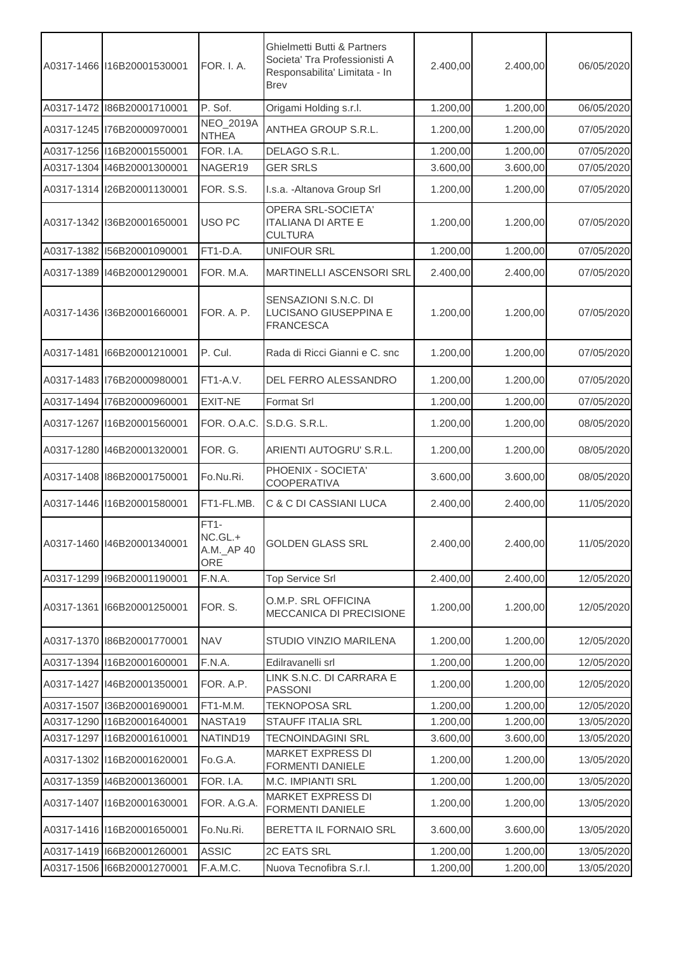|            | A0317-1466 116B20001530001   | <b>FOR. I. A.</b>                             | Ghielmetti Butti & Partners<br>Societa' Tra Professionisti A<br>Responsabilita' Limitata - In<br><b>Brev</b> | 2.400,00 | 2.400,00 | 06/05/2020 |
|------------|------------------------------|-----------------------------------------------|--------------------------------------------------------------------------------------------------------------|----------|----------|------------|
|            | A0317-1472   186B20001710001 | P. Sof.                                       | Origami Holding s.r.l.                                                                                       | 1.200,00 | 1.200,00 | 06/05/2020 |
|            | A0317-1245 76B20000970001    | NEO_2019A<br><b>NTHEA</b>                     | ANTHEA GROUP S.R.L.                                                                                          | 1.200,00 | 1.200,00 | 07/05/2020 |
|            | A0317-1256 116B20001550001   | FOR. I.A.                                     | DELAGO S.R.L.                                                                                                | 1.200,00 | 1.200,00 | 07/05/2020 |
|            | A0317-1304 146B20001300001   | NAGER19                                       | <b>GER SRLS</b>                                                                                              | 3.600,00 | 3.600,00 | 07/05/2020 |
|            | A0317-1314 126B20001130001   | FOR. S.S.                                     | I.s.a. - Altanova Group Srl                                                                                  | 1.200,00 | 1.200,00 | 07/05/2020 |
|            | A0317-1342 136B20001650001   | USO PC                                        | OPERA SRL-SOCIETA'<br><b>ITALIANA DI ARTE E</b><br><b>CULTURA</b>                                            | 1.200,00 | 1.200,00 | 07/05/2020 |
|            | A0317-1382 156B20001090001   | FT1-D.A.                                      | <b>UNIFOUR SRL</b>                                                                                           | 1.200,00 | 1.200,00 | 07/05/2020 |
|            | A0317-1389 146B20001290001   | FOR. M.A.                                     | MARTINELLI ASCENSORI SRL                                                                                     | 2.400,00 | 2.400,00 | 07/05/2020 |
|            | A0317-1436 136B20001660001   | FOR. A. P.                                    | SENSAZIONI S.N.C. DI<br>LUCISANO GIUSEPPINA E<br><b>FRANCESCA</b>                                            | 1.200,00 | 1.200,00 | 07/05/2020 |
|            | A0317-1481 166B20001210001   | P. Cul.                                       | Rada di Ricci Gianni e C. snc                                                                                | 1.200,00 | 1.200,00 | 07/05/2020 |
|            | A0317-1483 76B20000980001    | FT1-A.V.                                      | DEL FERRO ALESSANDRO                                                                                         | 1.200,00 | 1.200,00 | 07/05/2020 |
|            | A0317-1494 76B20000960001    | EXIT-NE                                       | Format Srl                                                                                                   | 1.200,00 | 1.200,00 | 07/05/2020 |
|            | A0317-1267 16B20001560001    | FOR. O.A.C.                                   | S.D.G. S.R.L.                                                                                                | 1.200,00 | 1.200,00 | 08/05/2020 |
|            | A0317-1280 146B20001320001   | FOR. G.                                       | ARIENTI AUTOGRU' S.R.L.                                                                                      | 1.200,00 | 1.200,00 | 08/05/2020 |
|            | A0317-1408 86B20001750001    | Fo.Nu.Ri.                                     | PHOENIX - SOCIETA'<br><b>COOPERATIVA</b>                                                                     | 3.600,00 | 3.600,00 | 08/05/2020 |
|            | A0317-1446 116B20001580001   | FT1-FL.MB.                                    | C & C DI CASSIANI LUCA                                                                                       | 2.400,00 | 2.400,00 | 11/05/2020 |
|            | A0317-1460 146B20001340001   | $FT1-$<br>NC.GL.+<br>A.M._AP 40<br><b>ORE</b> | <b>GOLDEN GLASS SRL</b>                                                                                      | 2.400,00 | 2.400,00 | 11/05/2020 |
|            | A0317-1299 I96B20001190001   | F.N.A.                                        | <b>Top Service Srl</b>                                                                                       | 2.400,00 | 2.400,00 | 12/05/2020 |
|            | A0317-1361 166B20001250001   | FOR. S.                                       | O.M.P. SRL OFFICINA<br>MECCANICA DI PRECISIONE                                                               | 1.200,00 | 1.200,00 | 12/05/2020 |
|            | A0317-1370 86B20001770001    | <b>NAV</b>                                    | STUDIO VINZIO MARILENA                                                                                       | 1.200,00 | 1.200,00 | 12/05/2020 |
|            | A0317-1394 116B20001600001   | F.N.A.                                        | Edilravanelli srl                                                                                            | 1.200,00 | 1.200,00 | 12/05/2020 |
|            | A0317-1427 146B20001350001   | FOR. A.P.                                     | LINK S.N.C. DI CARRARA E<br><b>PASSONI</b>                                                                   | 1.200,00 | 1.200,00 | 12/05/2020 |
| A0317-1507 | I36B20001690001              | FT1-M.M.                                      | <b>TEKNOPOSA SRL</b>                                                                                         | 1.200,00 | 1.200,00 | 12/05/2020 |
|            | A0317-1290 116B20001640001   | NASTA19                                       | <b>STAUFF ITALIA SRL</b>                                                                                     | 1.200,00 | 1.200,00 | 13/05/2020 |
|            | A0317-1297 16B20001610001    | NATIND19                                      | <b>TECNOINDAGINI SRL</b>                                                                                     | 3.600,00 | 3.600,00 | 13/05/2020 |
|            | A0317-1302 116B20001620001   | Fo.G.A.                                       | <b>MARKET EXPRESS DI</b><br>FORMENTI DANIELE                                                                 | 1.200,00 | 1.200,00 | 13/05/2020 |
|            | A0317-1359 146B20001360001   | FOR. I.A.                                     | <b>M.C. IMPIANTI SRL</b>                                                                                     | 1.200,00 | 1.200,00 | 13/05/2020 |
|            | A0317-1407 116B20001630001   | FOR. A.G.A.                                   | <b>MARKET EXPRESS DI</b><br>FORMENTI DANIELE                                                                 | 1.200,00 | 1.200,00 | 13/05/2020 |
|            | A0317-1416 116B20001650001   | Fo.Nu.Ri.                                     | BERETTA IL FORNAIO SRL                                                                                       | 3.600,00 | 3.600,00 | 13/05/2020 |
|            | A0317-1419 166B20001260001   | <b>ASSIC</b>                                  | 2C EATS SRL                                                                                                  | 1.200,00 | 1.200,00 | 13/05/2020 |
|            | A0317-1506 166B20001270001   | F.A.M.C.                                      | Nuova Tecnofibra S.r.l.                                                                                      | 1.200,00 | 1.200,00 | 13/05/2020 |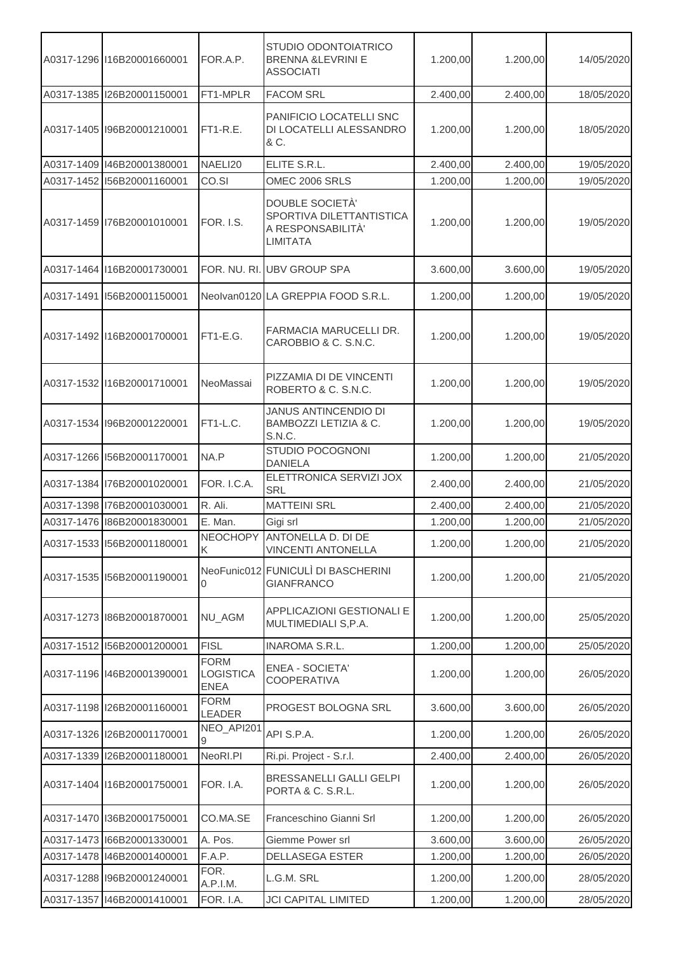|            | A0317-1296 116B20001660001 | FOR.A.P.                                | STUDIO ODONTOIATRICO<br><b>BRENNA &amp;LEVRINI E</b><br><b>ASSOCIATI</b>            | 1.200,00 | 1.200,00 | 14/05/2020 |
|------------|----------------------------|-----------------------------------------|-------------------------------------------------------------------------------------|----------|----------|------------|
|            | A0317-1385 I26B20001150001 | FT1-MPLR                                | <b>FACOM SRL</b>                                                                    | 2.400,00 | 2.400,00 | 18/05/2020 |
|            | A0317-1405 I96B20001210001 | $FT1-R.E.$                              | PANIFICIO LOCATELLI SNC<br>DI LOCATELLI ALESSANDRO<br>& C.                          | 1.200,00 | 1.200,00 | 18/05/2020 |
|            | A0317-1409 146B20001380001 | NAELI20                                 | ELITE S.R.L.                                                                        | 2.400,00 | 2.400,00 | 19/05/2020 |
|            | A0317-1452 156B20001160001 | CO.SI                                   | OMEC 2006 SRLS                                                                      | 1.200,00 | 1.200,00 | 19/05/2020 |
|            | A0317-1459 76B20001010001  | <b>FOR. I.S.</b>                        | DOUBLE SOCIETÀ'<br>SPORTIVA DILETTANTISTICA<br>A RESPONSABILITÀ'<br><b>LIMITATA</b> | 1.200,00 | 1.200,00 | 19/05/2020 |
|            | A0317-1464 116B20001730001 |                                         | FOR. NU. RI. UBV GROUP SPA                                                          | 3.600,00 | 3.600,00 | 19/05/2020 |
|            | A0317-1491 156B20001150001 |                                         | Neolvan0120 LA GREPPIA FOOD S.R.L.                                                  | 1.200,00 | 1.200,00 | 19/05/2020 |
|            | A0317-1492 116B20001700001 | FT1-E.G.                                | FARMACIA MARUCELLI DR.<br>CAROBBIO & C. S.N.C.                                      | 1.200,00 | 1.200,00 | 19/05/2020 |
|            | A0317-1532 116B20001710001 | NeoMassai                               | PIZZAMIA DI DE VINCENTI<br>ROBERTO & C. S.N.C.                                      | 1.200,00 | 1.200,00 | 19/05/2020 |
|            | A0317-1534 196B20001220001 | $FT1-L.C.$                              | <b>JANUS ANTINCENDIO DI</b><br>BAMBOZZI LETIZIA & C.<br><b>S.N.C.</b>               | 1.200,00 | 1.200,00 | 19/05/2020 |
|            | A0317-1266 156B20001170001 | NA.P                                    | STUDIO POCOGNONI<br><b>DANIELA</b>                                                  | 1.200,00 | 1.200,00 | 21/05/2020 |
|            | A0317-1384 176B20001020001 | FOR. I.C.A.                             | ELETTRONICA SERVIZI JOX<br><b>SRL</b>                                               | 2.400,00 | 2.400,00 | 21/05/2020 |
|            | A0317-1398 76B20001030001  | R. Ali.                                 | <b>MATTEINI SRL</b>                                                                 | 2.400,00 | 2.400,00 | 21/05/2020 |
|            | A0317-1476 186B20001830001 | E. Man.                                 | Gigi srl                                                                            | 1.200,00 | 1.200,00 | 21/05/2020 |
|            | A0317-1533 156B20001180001 | K                                       | NEOCHOPY ANTONELLA D. DI DE<br><b>VINCENTI ANTONELLA</b>                            | 1.200,00 | 1.200,00 | 21/05/2020 |
|            | A0317-1535 156B20001190001 | 0                                       | NeoFunic012 FUNICULI DI BASCHERINI<br><b>GIANFRANCO</b>                             | 1.200,00 | 1.200,00 | 21/05/2020 |
|            | A0317-1273 86B20001870001  | NU_AGM                                  | APPLICAZIONI GESTIONALI E<br>MULTIMEDIALI S, P.A.                                   | 1.200,00 | 1.200,00 | 25/05/2020 |
|            | A0317-1512 156B20001200001 | <b>FISL</b>                             | <b>INAROMA S.R.L.</b>                                                               | 1.200,00 | 1.200,00 | 25/05/2020 |
|            | A0317-1196 146B20001390001 | <b>FORM</b><br>LOGISTICA<br><b>ENEA</b> | <b>ENEA - SOCIETA'</b><br><b>COOPERATIVA</b>                                        | 1.200,00 | 1.200,00 | 26/05/2020 |
|            | A0317-1198  26B20001160001 | <b>FORM</b><br><b>LEADER</b>            | PROGEST BOLOGNA SRL                                                                 | 3.600,00 | 3.600,00 | 26/05/2020 |
|            | A0317-1326 I26B20001170001 | NEO_API201<br>9.                        | API S.P.A.                                                                          | 1.200,00 | 1.200,00 | 26/05/2020 |
|            | A0317-1339 I26B20001180001 | NeoRI.PI                                | Ri.pi. Project - S.r.l.                                                             | 2.400,00 | 2.400,00 | 26/05/2020 |
|            | A0317-1404 116B20001750001 | FOR. I.A.                               | BRESSANELLI GALLI GELPI<br>PORTA & C. S.R.L.                                        | 1.200,00 | 1.200,00 | 26/05/2020 |
|            | A0317-1470 136B20001750001 | CO.MA.SE                                | Franceschino Gianni Srl                                                             | 1.200,00 | 1.200,00 | 26/05/2020 |
|            | A0317-1473 166B20001330001 | A. Pos.                                 | Giemme Power srl                                                                    | 3.600,00 | 3.600,00 | 26/05/2020 |
|            | A0317-1478 146B20001400001 | F.A.P.                                  | <b>DELLASEGA ESTER</b>                                                              | 1.200,00 | 1.200,00 | 26/05/2020 |
|            | A0317-1288 196B20001240001 | FOR.<br>A.P.I.M.                        | L.G.M. SRL                                                                          | 1.200,00 | 1.200,00 | 28/05/2020 |
| A0317-1357 | 146B20001410001            | FOR. I.A.                               | <b>JCI CAPITAL LIMITED</b>                                                          | 1.200,00 | 1.200,00 | 28/05/2020 |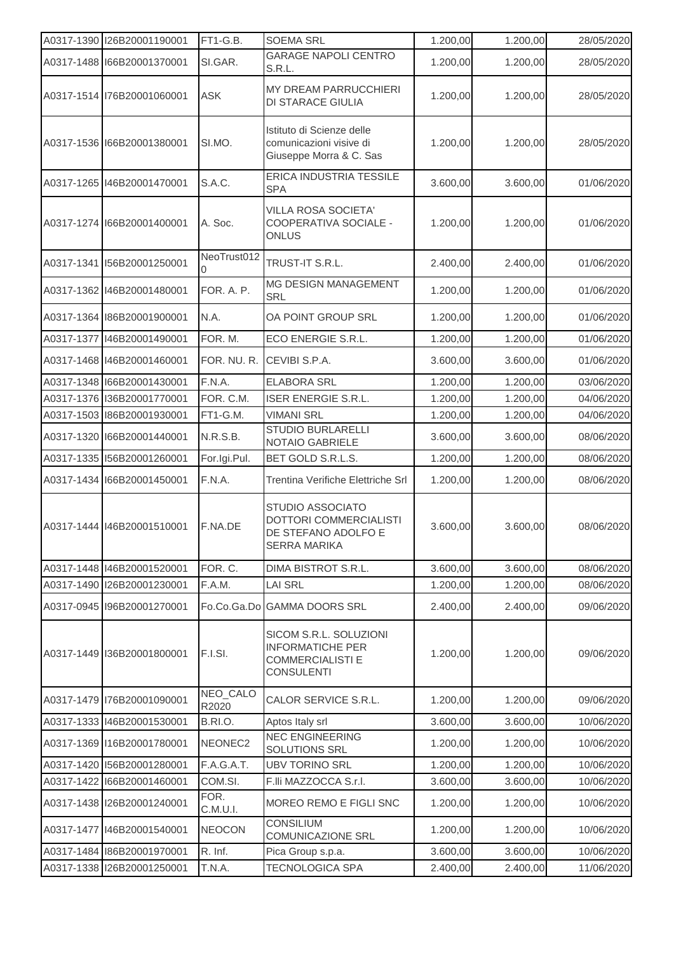|            | A0317-1390 I26B20001190001   | FT1-G.B.          | <b>SOEMA SRL</b>                                                                                  | 1.200,00 | 1.200,00 | 28/05/2020 |
|------------|------------------------------|-------------------|---------------------------------------------------------------------------------------------------|----------|----------|------------|
|            | A0317-1488 166B20001370001   | SI.GAR.           | <b>GARAGE NAPOLI CENTRO</b><br>S.R.L.                                                             | 1.200,00 | 1.200,00 | 28/05/2020 |
|            | A0317-1514 76B20001060001    | <b>ASK</b>        | MY DREAM PARRUCCHIERI<br>DI STARACE GIULIA                                                        | 1.200,00 | 1.200,00 | 28/05/2020 |
|            | A0317-1536 166B20001380001   | SI.MO.            | Istituto di Scienze delle<br>comunicazioni visive di<br>Giuseppe Morra & C. Sas                   | 1.200,00 | 1.200,00 | 28/05/2020 |
|            | A0317-1265 146B20001470001   | S.A.C.            | ERICA INDUSTRIA TESSILE<br><b>SPA</b>                                                             | 3.600,00 | 3.600,00 | 01/06/2020 |
|            | A0317-1274 166B20001400001   | A. Soc.           | <b>VILLA ROSA SOCIETA'</b><br>COOPERATIVA SOCIALE -<br>ONLUS                                      | 1.200,00 | 1.200,00 | 01/06/2020 |
| A0317-1341 | I56B20001250001              | NeoTrust012<br>0  | TRUST-IT S.R.L.                                                                                   | 2.400,00 | 2.400,00 | 01/06/2020 |
|            | A0317-1362 146B20001480001   | FOR. A. P.        | MG DESIGN MANAGEMENT<br><b>SRL</b>                                                                | 1.200,00 | 1.200,00 | 01/06/2020 |
|            | A0317-1364 186B20001900001   | N.A.              | OA POINT GROUP SRL                                                                                | 1.200,00 | 1.200,00 | 01/06/2020 |
| A0317-1377 | I46B20001490001              | FOR. M.           | ECO ENERGIE S.R.L.                                                                                | 1.200,00 | 1.200,00 | 01/06/2020 |
|            | A0317-1468 146B20001460001   | FOR. NU. R.       | CEVIBI S.P.A.                                                                                     | 3.600,00 | 3.600,00 | 01/06/2020 |
|            | A0317-1348 166B20001430001   | F.N.A.            | <b>ELABORA SRL</b>                                                                                | 1.200,00 | 1.200,00 | 03/06/2020 |
|            | A0317-1376 136B20001770001   | FOR. C.M.         | <b>ISER ENERGIE S.R.L.</b>                                                                        | 1.200,00 | 1.200,00 | 04/06/2020 |
|            | A0317-1503 86B20001930001    | FT1-G.M.          | <b>VIMANI SRL</b>                                                                                 | 1.200,00 | 1.200,00 | 04/06/2020 |
|            | A0317-1320 166B20001440001   | <b>N.R.S.B.</b>   | <b>STUDIO BURLARELLI</b><br>NOTAIO GABRIELE                                                       | 3.600,00 | 3.600,00 | 08/06/2020 |
|            | A0317-1335 156B20001260001   | For.Igi.Pul.      | BET GOLD S.R.L.S.                                                                                 | 1.200,00 | 1.200,00 | 08/06/2020 |
|            | A0317-1434 166B20001450001   | F.N.A.            | Trentina Verifiche Elettriche Srl                                                                 | 1.200,00 | 1.200,00 | 08/06/2020 |
|            | A0317-1444 146B20001510001   | F.NA.DE           | STUDIO ASSOCIATO<br>DOTTORI COMMERCIALISTI<br>DE STEFANO ADOLFO E<br>SERRA MARIKA                 | 3.600,00 | 3.600,00 | 08/06/2020 |
|            | A0317-1448 146B20001520001   | FOR. C.           | <b>DIMA BISTROT S.R.L.</b>                                                                        | 3.600,00 | 3.600,00 | 08/06/2020 |
|            | A0317-1490   I26B20001230001 | F.A.M.            | <b>LAI SRL</b>                                                                                    | 1.200,00 | 1.200,00 | 08/06/2020 |
|            | A0317-0945 196B20001270001   | Fo.Co.Ga.Do       | <b>GAMMA DOORS SRL</b>                                                                            | 2.400,00 | 2.400,00 | 09/06/2020 |
|            | A0317-1449 136B20001800001   | F.I.SI.           | SICOM S.R.L. SOLUZIONI<br><b>INFORMATICHE PER</b><br><b>COMMERCIALISTI E</b><br><b>CONSULENTI</b> | 1.200,00 | 1.200,00 | 09/06/2020 |
|            | A0317-1479 176B20001090001   | NEO_CALO<br>R2020 | CALOR SERVICE S.R.L.                                                                              | 1.200,00 | 1.200,00 | 09/06/2020 |
|            | A0317-1333 146B20001530001   | B.RI.O.           | Aptos Italy srl                                                                                   | 3.600,00 | 3.600,00 | 10/06/2020 |
|            | A0317-1369 116B20001780001   | NEONEC2           | <b>NEC ENGINEERING</b><br>SOLUTIONS SRL                                                           | 1.200,00 | 1.200,00 | 10/06/2020 |
|            | A0317-1420 156B20001280001   | F.A.G.A.T.        | <b>UBV TORINO SRL</b>                                                                             | 1.200,00 | 1.200,00 | 10/06/2020 |
|            | A0317-1422 166B20001460001   | COM.SI.           | F.IIi MAZZOCCA S.r.I.                                                                             | 3.600,00 | 3.600,00 | 10/06/2020 |
|            | A0317-1438 I26B20001240001   | FOR.<br>C.M.U.I.  | MOREO REMO E FIGLI SNC                                                                            | 1.200,00 | 1.200,00 | 10/06/2020 |
| A0317-1477 | I46B20001540001              | <b>NEOCON</b>     | <b>CONSILIUM</b><br>COMUNICAZIONE SRL                                                             | 1.200,00 | 1.200,00 | 10/06/2020 |
|            | A0317-1484 86B20001970001    | R. Inf.           | Pica Group s.p.a.                                                                                 | 3.600,00 | 3.600,00 | 10/06/2020 |
|            | A0317-1338 I26B20001250001   | T.N.A.            | TECNOLOGICA SPA                                                                                   | 2.400,00 | 2.400,00 | 11/06/2020 |